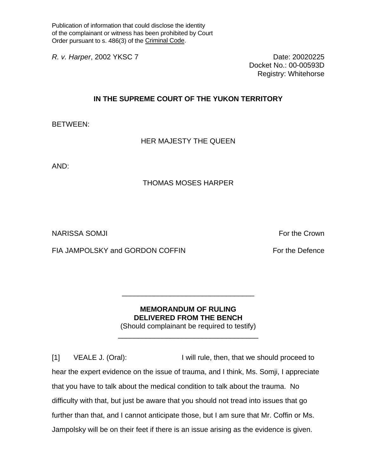Publication of information that could disclose the identity of the complainant or witness has been prohibited by Court Order pursuant to s. 486(3) of the Criminal Code.

*R. v. Harper*, 2002 YKSC 7 Date: 20020225

Docket No.: 00-00593D Registry: Whitehorse

## **IN THE SUPREME COURT OF THE YUKON TERRITORY**

BETWEEN:

HER MAJESTY THE QUEEN

AND:

## THOMAS MOSES HARPER

NARISSA SOMJI For the Crown in the Crown of the Crown in the Crown in the Crown in the Crown in the Crown in the Crown in the Crown in the Crown in the Crown in the Crown in the Crown in the Crown in the Crown in the Crown

FIA JAMPOLSKY and GORDON COFFIN FOR THE PROTOCOLS FOR THE DEFENCE

## **MEMORANDUM OF RULING DELIVERED FROM THE BENCH**

\_\_\_\_\_\_\_\_\_\_\_\_\_\_\_\_\_\_\_\_\_\_\_\_\_\_\_\_\_\_\_\_\_

(Should complainant be required to testify) \_\_\_\_\_\_\_\_\_\_\_\_\_\_\_\_\_\_\_\_\_\_\_\_\_\_\_\_\_\_\_\_\_\_\_

[1] VEALE J. (Oral): I will rule, then, that we should proceed to hear the expert evidence on the issue of trauma, and I think, Ms. Somji, I appreciate that you have to talk about the medical condition to talk about the trauma. No difficulty with that, but just be aware that you should not tread into issues that go further than that, and I cannot anticipate those, but I am sure that Mr. Coffin or Ms. Jampolsky will be on their feet if there is an issue arising as the evidence is given.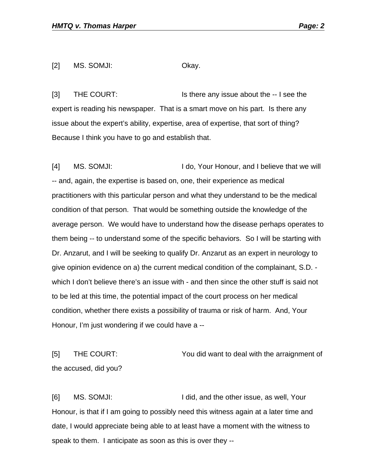[2] MS. SOMJI: Okay.

[3] THE COURT: Is there any issue about the -- I see the expert is reading his newspaper. That is a smart move on his part. Is there any issue about the expert's ability, expertise, area of expertise, that sort of thing? Because I think you have to go and establish that.

[4] MS. SOMJI: I do, Your Honour, and I believe that we will -- and, again, the expertise is based on, one, their experience as medical practitioners with this particular person and what they understand to be the medical condition of that person. That would be something outside the knowledge of the average person. We would have to understand how the disease perhaps operates to them being -- to understand some of the specific behaviors. So I will be starting with Dr. Anzarut, and I will be seeking to qualify Dr. Anzarut as an expert in neurology to give opinion evidence on a) the current medical condition of the complainant, S.D. which I don't believe there's an issue with - and then since the other stuff is said not to be led at this time, the potential impact of the court process on her medical condition, whether there exists a possibility of trauma or risk of harm. And, Your Honour, I'm just wondering if we could have a --

[5] THE COURT: You did want to deal with the arraignment of the accused, did you?

[6] MS. SOMJI: I did, and the other issue, as well, Your Honour, is that if I am going to possibly need this witness again at a later time and date, I would appreciate being able to at least have a moment with the witness to speak to them. I anticipate as soon as this is over they --